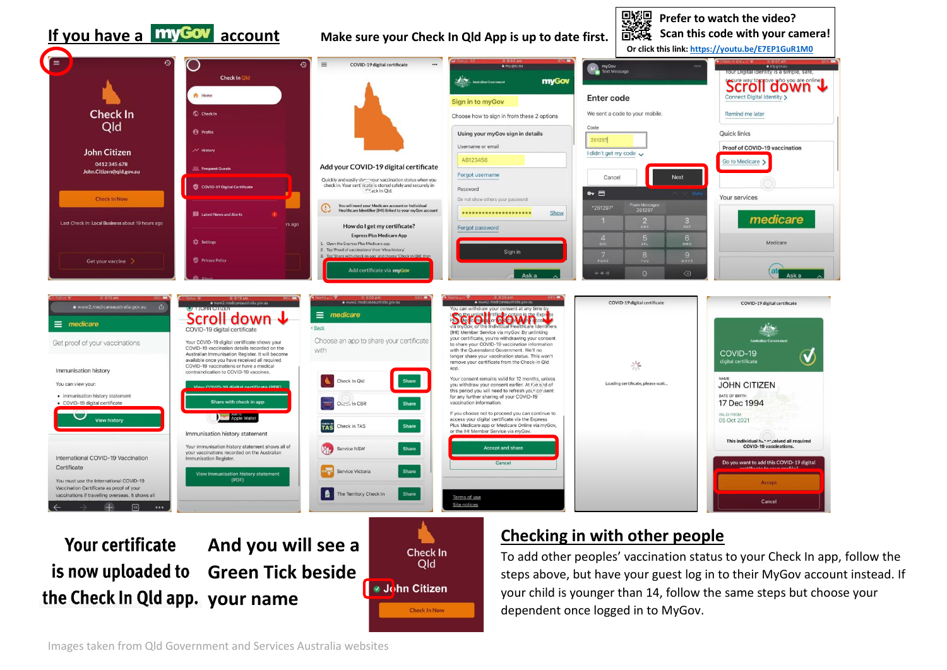#### **Prefer to watch the video? If you have a <b>my Cov** account Make sure your Check In Qld App is up to date first. **Scan this code with your camera! Or click this link:<https://youtu.be/E7EP1GuR1M0>**⋐  $\Omega$  $=$ COVID-19 digital certificate M<sub>an</sub> myGov<br>Text Message  $Check In  $\bigcap$$ myGov Scroll down ↓ **A** Home **Enter code Sign in to myGov Check In** C Check In We sent a code to your mobile. Remind me late Choose how to sign in from these 2 options Old Code **A** Profil Using your myGov sign in details **Quick links** 261297 Username or email Proof of COVID-19 vaccination John Citizen I didn't get my code v AB123456 Go to Medicare > 0412 345 678 Add your COVID-19 digital certificate John.Citizen@gld.gov.au Forgot username Cancel Next Oujckly and easily she ... your vaccination status when you check in. Your cert ficate is stored safely and securely in COVID-19 Digital Certificate Password Check In Old.  $\sim$   $\Box$ Your services **Check In Nove** Do not show others your password You will need your Medicare account or Individual<br>Healthcare Identifier (IHI) linked to your myGov ac  $\Omega$ m Messai<br>261297 ..................... Show medicare Last Check In: Local Business about 19 hours ag rs ago How do I get my certificate? Forgot password **Express Plus Medicare App**  $6\nu$ **12** Setting Medicare L. Open the Express Plus Medicare app. Tap 'Proof of vaccinations' then 'View history Sign in  $\frac{9}{1}$ Tap 'Share with check-in-app' and choose 'Check In Old', the Get your vaccine Add certificate via myGov  $+ * +$ COVID-19 digital certificate www2.medicareaustralia.gov.au www2.medicareaustralia.gov.au COVID-19 digital certificate SCROLL down ↓ Seasy Maria Company our consent at any time by<br>COVID-19 digital certificate the scroll down the strong of the scroll down the scroll down the scroll down the scroll down the scroll down the scroll down the sc  $\equiv$  medicare your certificate, you're withdrawing your consent Your COVID-19 digital certificate shows your Choose an app to share your certificate Get proof of your vaccinations to share your COVID-19 vaccination information COVID-19 vaccination details recorded on the with the Queensland Government. We'll no with COVID-19 Australian Immunisation Register, It will become  $\bm{U}$ longer share your vaccination status. This won't available once you have received all required remove your certificate from the Check-in Qld digital certificate 2년 COVID-19 vaccinations or have a medical app Immunisation history contraindication to COVID-19 vaccines. Your consent remains valid for 12 months, unless Check In Old You can view your Loading certificate, please wait. **JOHN CITIZEN** you withdraw your consent earlier. At the end of this period you will need to refresh your consent DATE OF BIRTH · immunisation history statement for any further sharing of your COVID-19 Share with check in app 17 Dec 1994 · COVID-19 digital certificate Curry, In CBR vaccination information Share If you choose not to proceed you can continue to **Apple Wallet** access your digital certificate via the Express 05 Oct 2021 View history Check in TAS Share Plus Medicare app or Medicare Online via myGov. **CHECK IN** or the IHI Member Service via myGov. Immunisation history statement This individual by a repeived all required Your immunisation history statement shows all of COVID-19 vaccinat Service NSW Share **Accept and share** your vaccinations recorded on the Australian International COVID-19 Vaccination mmunisation Register Do you want to add this COVID-19 digital Cancel Certificate ervice Victoria Share munisation history statement You must use the International COVID-19 (PDF) Accep Vaccination Certificate as proof of your 16 The Territory Check In

## **And you will see a Your certificate is now uploaded to Green Tick beside** he Check In Qld app. your name

 $\overline{\phantom{a}}$ 

vaccinations if travelling overseas. It shows all

 $\sqrt{10}$ 



Share

Terms of use

Site notices

## **Checking in with other people**

To add other peoples' vaccination status to your Check In app, follow the steps above, but have your guest log in to their MyGov account instead. If your child is younger than 14, follow the same steps but choose your dependent once logged in to MyGov.

Cancel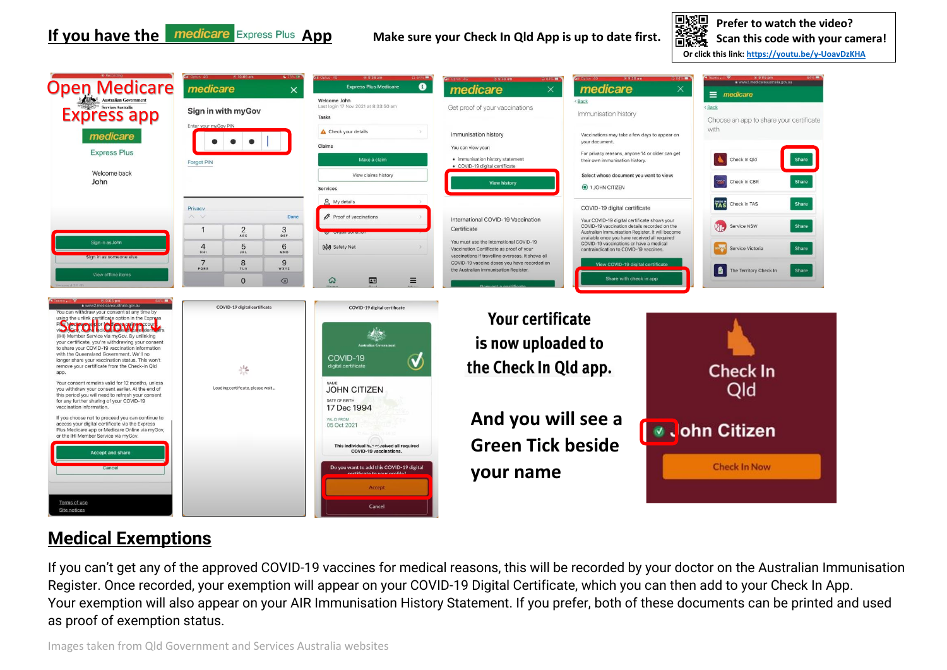婴 **Prefer to watch the video?** 高減 **Scan this code with your camera! Or click this link:<https://youtu.be/y-UoavDzKHA>**



## **Medical Exemptions**

If you can't get any of the approved COVID-19 vaccines for medical reasons, this will be recorded by your doctor on the Australian Immunisation Register. Once recorded, your exemption will appear on your COVID-19 Digital Certificate, which you can then add to your Check In App. Your exemption will also appear on your AIR Immunisation History Statement. If you prefer, both of these documents can be printed and used as proof of exemption status.